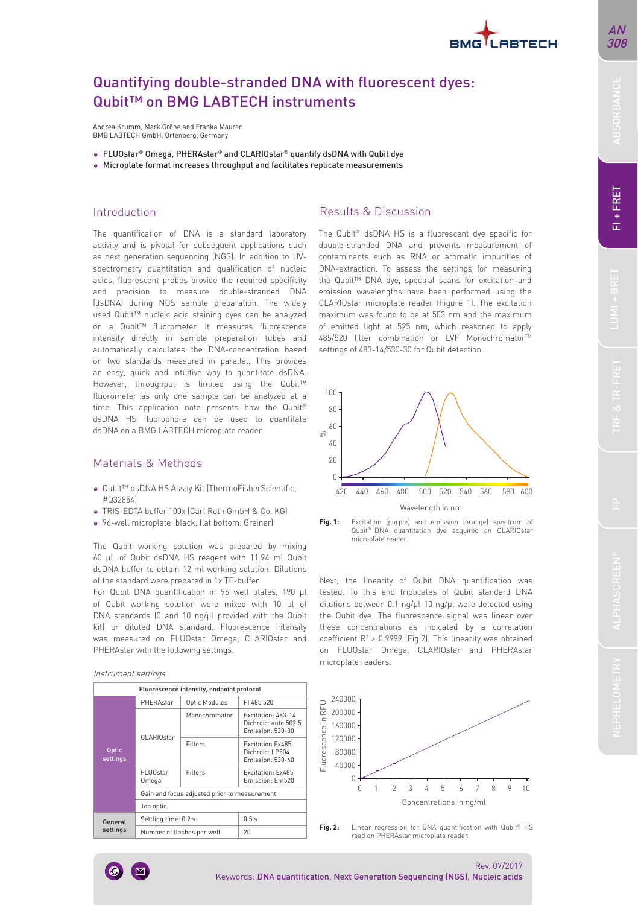

# Quantifying double-stranded DNA with fluorescent dyes: Qubit™ on BMG LABTECH instruments

Andrea Krumm, Mark Gröne and Franka Maurer BMB LABTECH GmbH, Ortenberg, Germany

- FLUOstar® Omega, PHERAstar® and CLARIOstar® quantify dsDNA with Qubit dye
- Microplate format increases throughput and facilitates replicate measurements

### Introduction

The quantification of DNA is a standard laboratory activity and is pivotal for subsequent applications such as next generation sequencing (NGS). In addition to UVspectrometry quantitation and qualification of nucleic acids, fluorescent probes provide the required specificity and precision to measure double-stranded DNA (dsDNA) during NGS sample preparation. The widely used Qubit™ nucleic acid staining dyes can be analyzed on a Qubit™ fluorometer. It measures fluorescence intensity directly in sample preparation tubes and automatically calculates the DNA-concentration based on two standards measured in parallel. This provides an easy, quick and intuitive way to quantitate dsDNA. However, throughput is limited using the Qubit™ fluorometer as only one sample can be analyzed at a time. This application note presents how the Qubit® dsDNA HS fluorophore can be used to quantitate dsDNA on a BMG LABTECH microplate reader.

## Materials & Methods

- Qubit™ dsDNA HS Assay Kit (ThermoFisherScientific,  $H \cap 2205(1)$
- TRIS-EDTA buffer 100x (Carl Roth GmbH & Co. KG)
- 96-well microplate (black, flat bottom, Greiner)

The Qubit working solution was prepared by mixing 60 µL of Qubit dsDNA HS reagent with 11.94 ml Qubit dsDNA buffer to obtain 12 ml working solution. Dilutions of the standard were prepared in 1x TE-buffer.

For Qubit DNA quantification in 96 well plates, 190 µl of Qubit working solution were mixed with 10 µl of DNA standards (0 and 10 ng/ul provided with the Qubit kit) or diluted DNA standard. Fluorescence intensity was measured on FLUOstar Omega, CLARIOstar and PHERAstar with the following settings.

#### Instrument settings

|                          |                                              | Fluorescence intensity, endpoint protocol |                                                                |  |
|--------------------------|----------------------------------------------|-------------------------------------------|----------------------------------------------------------------|--|
|                          | PHFRAstar                                    | <b>Optic Modules</b>                      | FI 485 520                                                     |  |
|                          | CLARIOstar                                   | Monochromator                             | Excitation: 483-14<br>Dichroic: auto 502.5<br>Emission: 530-30 |  |
| <b>Optic</b><br>settings |                                              | Filters                                   | <b>Excitation Ex485</b><br>Dichroic: LP504<br>Emission: 530-40 |  |
|                          | FI U0star<br>Omega                           | Filters                                   | Excitation: Ex485<br>Emission: Em520                           |  |
|                          | Gain and focus adjusted prior to measurement |                                           |                                                                |  |
|                          | Top optic                                    |                                           |                                                                |  |
| General                  | Settling time: 0.2 s                         |                                           | 0.5s                                                           |  |
| settings                 | Number of flashes per well                   |                                           | 20                                                             |  |

## Results & Discussion

The Qubit® dsDNA HS is a fluorescent dye specific for double-stranded DNA and prevents measurement of contaminants such as RNA or aromatic impurities of DNA-extraction. To assess the settings for measuring the Qubit™ DNA dye, spectral scans for excitation and emission wavelengths have been performed using the CLARIOstar microplate reader (Figure 1). The excitation maximum was found to be at 503 nm and the maximum of emitted light at 525 nm, which reasoned to apply 485/520 filter combination or LVF Monochromator™ settings of 483-14/530-30 for Qubit detection.



**Fig. 1:** Excitation (purple) and emission (orange) spectrum of Qubit® DNA quantitation dye acquired on CLARIOstar microplate reader.

Next, the linearity of Qubit DNA quantification was tested. To this end triplicates of Qubit standard DNA dilutions between 0.1 ng/µl-10 ng/µl were detected using the Qubit dye. The fluorescence signal was linear over these concentrations as indicated by a correlation coefficient  $R^2$  > 0.9999 (Fig.2). This linearity was obtained on FLUOstar Omega, CLARIOstar and PHERAstar microplate readers.



**Fig. 2:** Linear regression for DNA quantification with Qubit® HS read on PHERAstar microplate reader.



FI+FRET